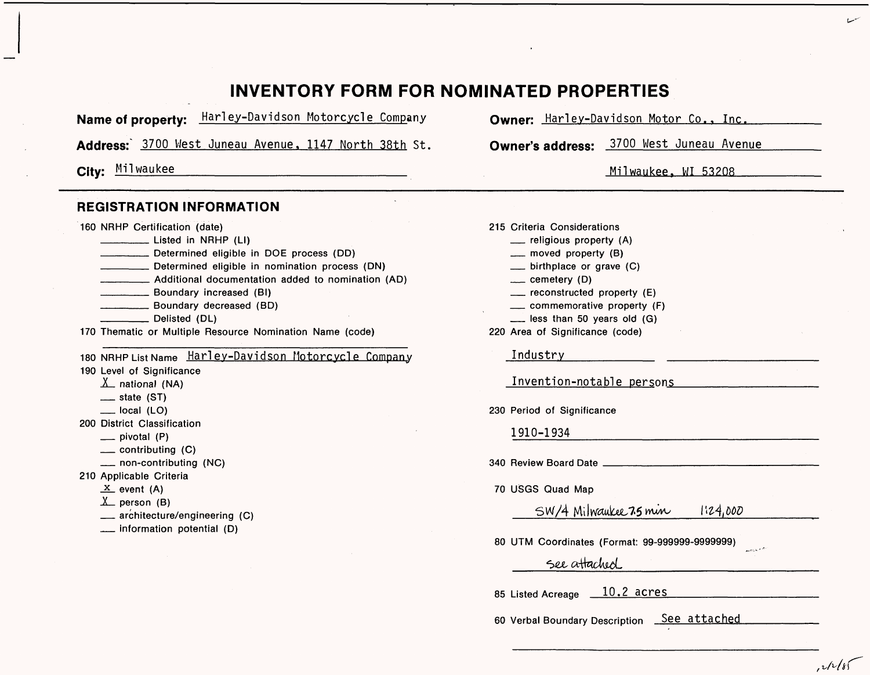### **INVENTORY FORM FOR NOMINATED PROPERTIES**

**Name of property:** Harley-Davidson Motorcycle Company **Owner:** Harlev-Davidson Motor Co.. Inc.

**Address:'** 3700 West Juneau Avenue, 1147 North 38th St. **Owner's address:** 3700 West Juneau Avenue

### **REGISTRATION INFORMATION**

160 NRHP Certification (date)

- \_\_\_\_\_\_ Listed in NRHP (LI)
- \_\_\_\_\_\_ Determined eligible in DOE process (DD)
- \_\_\_\_\_\_ Determined eligible in nomination process (DN)
- \_\_\_\_\_\_ Additional documentation added to nomination (AD)
- \_\_\_\_\_\_ Boundary increased (Bl)
- \_\_\_\_\_\_ Boundary decreased (BD)
- \_\_\_\_\_\_ Delisted (DL)
- 170 Thematic or Multiple Resource Nomination Name (code)

180 NRHP List Name Harley-Davidson Motorcycle Company 190 Level of Significance  $\underline{X}$  national (NA)  $-$  state (ST)  $\equiv$  local (LO) 200 District Classification  $\equiv$  pivotal (P)

- $\equiv$  contributing  $(C)$
- \_ non-contributing (NC)
- 210 Applicable Criteria
	- $X$  event (A)
	- $X$  person (B)
	- $\equiv$  architecture/engineering (C)
	- \_ information potential (D)

**City:** Milwaukee\_\_\_\_\_\_\_\_\_\_\_\_\_\_\_\_\_\_\_\_\_\_\_\_ Milwaukee. MI 53208

215 Criteria Considerations \_ religious property (A)

- $\equiv$  moved property (B)
- $\equiv$  birthplace or grave  $(C)$
- $\equiv$  cemetery (D)
- $\equiv$  reconstructed property (E)
- $\equiv$  commemorative property (F)
- $\equiv$  less than 50 years old (G)
- 220 Area of Significance (code)

#### Industry\_\_\_\_\_\_\_\_\_

Invention-notable persons

230 Period of Significance

| LOU I CHOU UI UIGHINGANGO                                                        |
|----------------------------------------------------------------------------------|
| 1910-1934                                                                        |
| 340 Review Board Date                                                            |
| 70 USGS Quad Map                                                                 |
| SW/4 Milwaukee 75 min<br>1:24,000                                                |
| 80 UTM Coordinates (Format: 99-999999-9999999)<br>والكرام بزيريه<br>See attached |

85 Listed Acreage 10.2 acres

60 Verbal Boundary Description See attached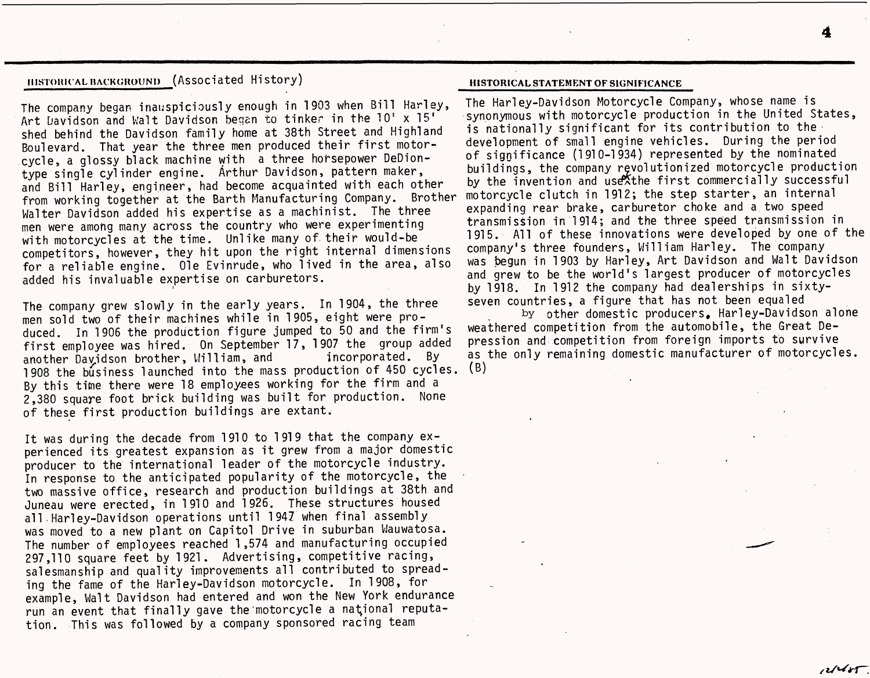### **MISTORICAL BACKGROUND** (Associated History)

The company began inauspiciously enough in 1903 when Bill Harley, Art Davidson and Walt Davidson began to tinker in the 10' x 15' shed behind the Davidson family home at 38th Street and Highland Boulevard. That year the three men produced their first motorcycle, a glossy black machine with a three horsepower DeDiontype single cylinder engine. Arthur Davidson, pattern maker, and Bill Harley, engineer, had become acquainted with each other from working together at the Barth Manufacturing Company. Brother Walter Davidson added his expertise as a machinist. The three men were among many across the country who were experimenting with motorcycles at the time. Unlike many of. their would-be competitors, however, they hit upon the right internal dimensions for a reliable engine. Ole Evinrude, who lived in the area, also added his invaluable expertise on carburetors.

The company grew slowly in the early years. In 1904, the three men sold two of their machines while in 1905, eight were produced. In 1906 the production figure jumped to 50 and the firm's first employee was hired. On September 17, 1907 the group added another Dayidson brother, William, and incorporated. By 1908 the business launched into the mass production of 450 cycles. (B) By this time there were 18 employees working for the firm and a 2,380 square foot brick building was built for production. None of these first production buildings are extant.

It was during the decade from 1910 to 1919 that the company experienced its greatest expansion as it grew from a major domestic producer to the international leader of the motorcycle industry. In response to the anticipated popularity of the motorcycle, the two massive office, research and production buildings at 38th and Juneau were erected, in 1910 and 1926. These structures housed all Harley-Davidson operations until 1947 when final assembly was moved to a new plant on Capitol Drive in suburban Wauwatosa. The number of employees reached 1,574 and manufacturing occupied 297,110 square feet by 1921. Advertising, competitive racing, salesmanship and quality improvements all contributed to spreading the fame of the Harley-Davidson motorcycle. In 1908, for example, Walt Davidson had entered and won the New York endurance run an event that finally gave the 'motorcycle a national reputation. This was followed by a company sponsored racing team

#### **HISTORICAL STATEMENT OF SIGNIFICANCE**

The Harley-Davidson Motorcycle Company, whose name is synonymous with motorcycle production in the United States, is nationally significant for its contribution to the development of small engine vehicles. During the period of significance (1910-1934) represented by the nominated buildings, the company revolutionized motorcycle production by the invention and use the first commercially successful motorcycle clutch in 1912; the step starter, an internal expanding rear brake, carburetor choke and a two speed transmission in 1914; and the three speed transmission in 1915. All of these innovations were developed by one of the company's three founders, William Harley. The company was begun in 1903 by Harley, Art Davidson and Walt Davidson and grew to be the world's largest producer of motorcycles by 1918. In 1912 the company had dealerships in sixtyseven countries, a figure that has not been equaled

by other domestic producers, Harley-Davidson alone weathered competition from the automobile, the Great Depression and competition from foreign imports to survive as the only remaining domestic manufacturer of motorcycles.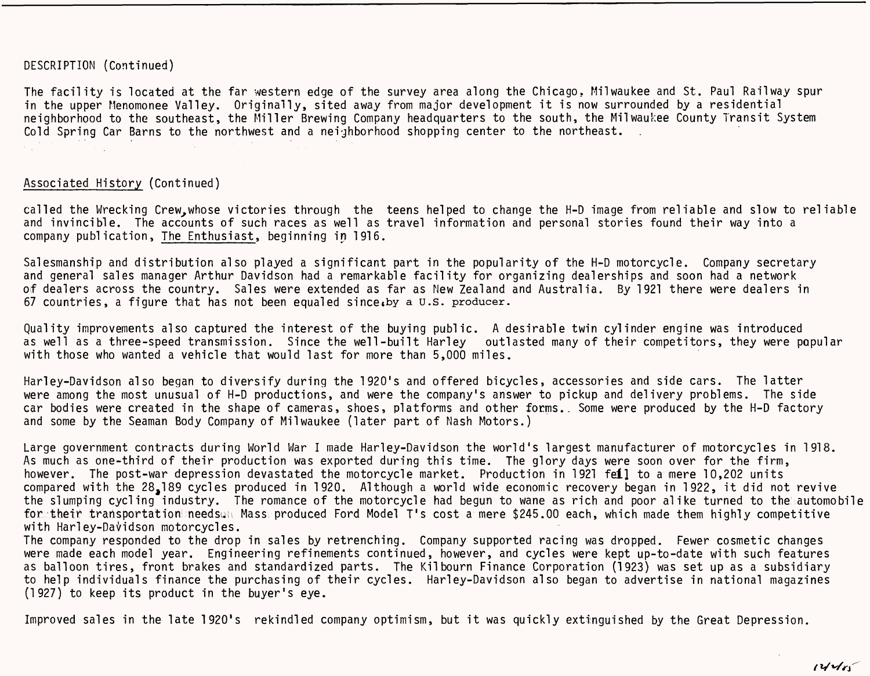### DESCRIPTION (Continued)

The facility is located at the far western edge of the survey area along the Chicago, Milwaukee and St. Paul Railway spur in the upper Menomonee Valley. Originally, sited away from major development it is now surrounded by a residential neighborhood to the southeast, the Miller Brewing Company headquarters to the south, the Milwaukee County Transit System Cold Spring Car Barns to the northwest and a neighborhood shopping center to the northeast.

### Associated History (Continued)

called the Wrecking Crew.whose victories through the teens helped to change the H-D image from reliable and slow to reliable and invincible. The accounts of such races as well as travel information and personal stories found their way into a company publication, The Enthusiast, beginning in 1916.

Salesmanship and distribution also played a significant part in the popularity of the H-D motorcycle. Company secretary and general sales manager Arthur Davidson had a remarkable facility for organizing dealerships and soon had a network of dealers across the country. Sales were extended as far as New Zealand and Australia. By 1921 there were dealers in 67 countries, a figure that has not been equaled since.by a U.S. producer.

Quality improvements also captured the interest of the buying public. A desirable twin cylinder engine was introduced as well as a three-speed transmission. Since the well-built Harley outlasted many of their competitors, they were popular with those who wanted a vehicle that would last for more than 5,000 miles.

Harley-Davidson also began to diversify during the 1920's and offered bicycles, accessories and side cars. The latter were among the most unusual of H-D productions, and were the company's answer to pickup and delivery problems. The side car bodies were created in the shape of cameras, shoes, platforms and other forms.. Some were produced by the H-D factory and some by the Seaman Body Company of Milwaukee (later part of Nash Motors.)

Large government contracts during World War I made Harley-Davidson the world's largest manufacturer of motorcycles in 1918. As much as one-third of their production was exported during this time. The glory days were soon over for the firm, however. The post-war depression devastated the motorcycle market. Production in 1921 fell to a mere 10,202 units compared with the 28,189 cycles produced in 1920. Although a world wide economic recovery began in 1922, it did not revive the slumping cycling industry. The romance of the motorcycle had begun to wane as rich and poor alike turned to the automobile for their transportation needsun Mass produced Ford Model T's cost a mere \$245.00 each, which made them highly competitive with Harley-Davidson motorcycles.

The company responded to the drop in sales by retrenching. Company supported racing was dropped. Fewer cosmetic changes were made each model year. Engineering refinements continued, however, and cycles were kept up-to-date with such features as balloon tires, front brakes and standardized parts. The Kilbourn Finance Corporation (1923) was set up as a subsidiary to help individuals finance the purchasing of their cycles. Harley-Davidson also began to advertise in national magazines (1927) to keep its product in the buyer's eye.

Improved sales in the late 1920's rekindled company optimism, but it was quickly extinguished by the Great Depression.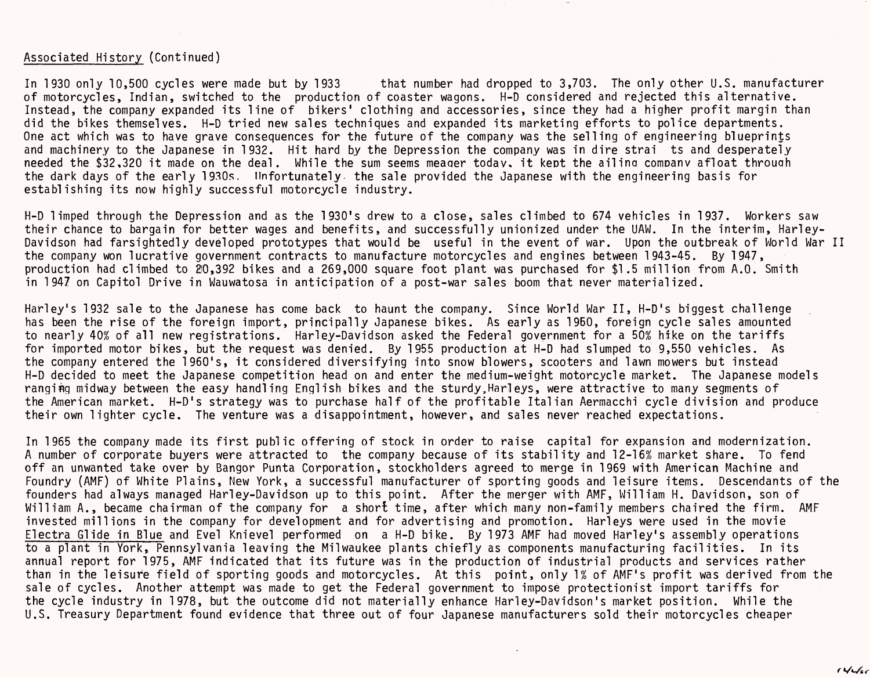### Associated History (Continued)

In 1930 only 10,500 cycles were made but by 1933 that number had dropped to 3,703. The only other U.S. manufacturer of motorcycles, Indian, switched to the production of coaster wagons. H-D considered and rejected this alternative. Instead, the company expanded its line of bikers' clothing and accessories, since they had a higher profit margin than did the bikes themselves. H-D tried new sales techniques and expanded its marketing efforts to police departments. One act which was to have grave consequences for the future of the company was the selling of engineering blueprints and machinery to the Japanese in 1932. Hit hard by the Depression the company was in dire strai ts and desperately needed the \$32,320 it made on the deal. While the sum seems meaqer today, it keot the ailina comoanv afloat throuah the dark days of the early 1930s. Unfortunately the sale provided the Japanese with the engineering basis for establishing its now highly successful motorcycle industry.

H-D limped through the Depression and as the 1930's drew to a close, sales climbed to 674 vehicles in 1937. Workers saw their chance to bargain for better wages and benefits, and successfully unionized under the UAW. In the interim, Harley-Davidson had farsightedly developed prototypes that would be useful in the event of war. Upon the outbreak of World War II the company won lucrative government contracts to manufacture motorcycles and engines between 1943-45. By 1947, production had climbed to 20,392 bikes and a 269,000 square foot plant was purchased for \$1.5 million from A.O. Smith in 1947 on Capitol Drive in Wauwatosa in anticipation of a post-war sales boom that never materialized.

Harley's 1932 sale to the Japanese has come back to haunt the company. Since World War II, H-D's biggest challenge has been the rise of the foreign import, principally Japanese bikes. As early as 1950, foreign cycle sales amounted to nearly 40% of all new registrations. Harley-Davidson asked the Federal government for a 50% hike on the tariffs for imported motor bikes, but the request was denied. By 1955 production at H-D had slumped to 9,550 vehicles. As the company entered the 1960's, it considered diversifying into snow blowers, scooters and lawn mowers but instead H-D decided to meet the Japanese competition head on and enter the medium-weight motorcycle market. The Japanese models ranging midway between the easy handling English bikes and the sturdy,Harleys, were attractive to many segments of the American market. H-D's strategy was to purchase half of the profitable Italian Aermacchi cycle division and produce their own lighter cycle. The venture was a disappointment, however, and sales never reached expectations.

In 1965 the company made its first public offering of stock in order to raise capital for expansion and modernization. A number of corporate buyers were attracted to the company because of its stability and 12-16% market share. To fend off an unwanted take over by Bangor Punta Corporation, stockholders agreed to merge in 1969 with American Machine and Foundry (AMF) of White Plains, New York, a successful manufacturer of sporting goods and leisure items. Descendants of the founders had always managed Harley-Davidson up to this point. After the merger with AMF, William H. Davidson, son of William A., became chairman of the company for a short time, after which many non-family members chaired the firm. AMF invested millions in the company for development and for advertising and promotion. Harleys were used in the movie Electra Glide in Blue and Evel Knievel performed on a H-D bike. By 1973 AMF had moved Harley's assembly operations to a plant in York, Pennsylvania leaving the Milwaukee plants chiefly as components manufacturing facilities. In its annual report for 1975, AMF indicated that its future was in the production of industrial products and services rather than in the leisure field of sporting goods and motorcycles. At this point, only 1% of AMF's profit was derived from the sale of cycles. Another attempt was made to get the Federal government to impose protectionist import tariffs for the cycle industry in 1978, but the outcome did not materially enhance Harley-Davidson's market position. While the U.S. Treasury Department found evidence that three out of four Japanese manufacturers sold their motorcycles cheaper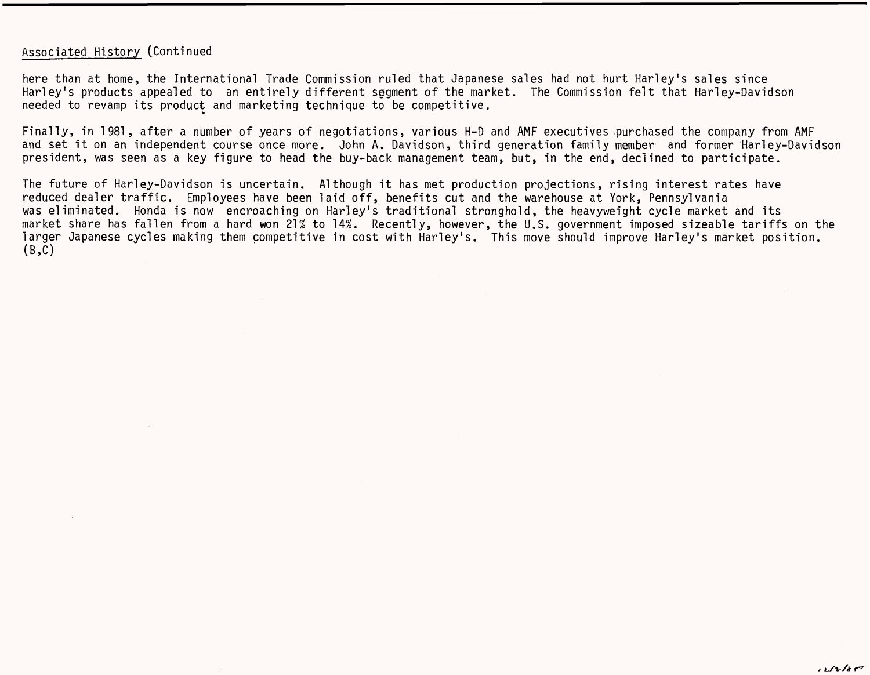### Associated History (Continued

here than at home, the International Trade Commission ruled that Japanese sales had not hurt Harley's sales since Harley's products appealed to an entirely different segment of the market. The Commission felt that Harley-Davidson needed to revamp its product and marketing technique to be competitive.

Finally, in 1981, after a number of years of negotiations, various H-D and AMF executives ;purchased the company from AMF and set it on an independent course once more. John A. Davidson, third generation family member and former Harley-Davidson president, was seen as a key figure to head the buy-back management team, but, in the end, declined to participate.

The future of Harley-Davidson is uncertain. Although it has met production projections, rising interest rates have reduced dealer traffic. Employees have been laid off, benefits cut and the warehouse at York, Pennsylvania was eliminated. Honda is now encroaching on Harley's traditional stronghold, the heavyweight cycle market and its market share has fallen from a hard won 21% to 14%. Recently, however, the U.S. government imposed sizeable tariffs on the larger Japanese cycles making them competitive in cost with Harley's. This move should improve Harley's market position.  $(B,C)$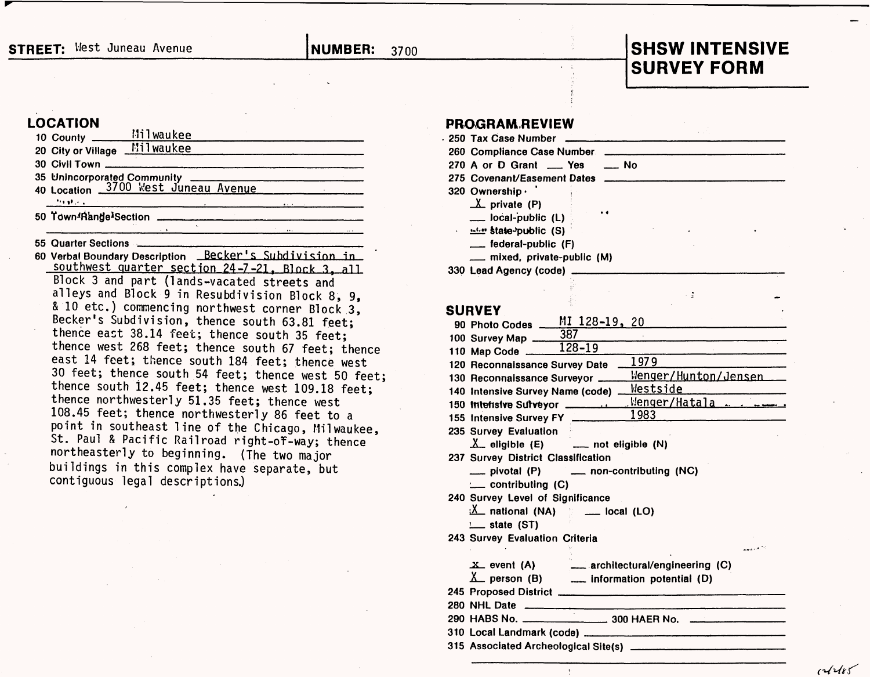### **STREET:** West Juneau Avenue **NUMBER:** 3700

## **SHSW INTENSIVE SURVEY FORM**

### **LOCATION**

| . | $\ddot{\phantom{1}}$<br>$\cdots$                                   |  |
|---|--------------------------------------------------------------------|--|
|   | 50 Town <sup>4</sup> Range <sup>1</sup> Section                    |  |
|   |                                                                    |  |
|   | 35 Unincorporated Community<br>40 Location 3700 West Juneau Avenue |  |
|   |                                                                    |  |
|   | 20 City or Village Milwaukee                                       |  |
|   | 10 County ________ Milwaukee                                       |  |

55 Quarter Sections

60 Verbal Boundary Description Becker's Subdivision in southwest quarter section 24-7-21, Block 3, all Block 3 and part (lands-vacated streets and alleys and Block 9 in Resubdivision Block 8, 9, & 10 etc.) commencing northwest corner Block 3, Becker's Subdivision, thence south 63.81 feet; thence east 38.14 feet; thence south 35 feet; thence west 268 feet; thence south 67 feet; thence east 14 feet; thence south 184 feet; thence west 30 feet; thence south 54 feet; thence west 50 feet; thence south 12.45 feet; thence west 109.18 feet; thence northwesterly 51.35 feet; thence west 108.45 feet; thence northwesterly 86 feet to a point in southeast line of the Chicago, Milwaukee, St. Paul & Pacific Railroad right-of-way; thence northeasterly to beginning. (The two major buildings in this complex have separate, but contiguous legal descriptions.)

# **PROGRAM REVIEW 250 Tax Case Number \_**

|  | . 250 Tax Case Number                            |
|--|--------------------------------------------------|
|  | 260 Compliance Case Number                       |
|  | 270 A or D Grant __ Yes<br>$\equiv$ No           |
|  | 275 Covenant/Easement Dates                      |
|  | 320 Ownership .                                  |
|  | $\Lambda$ private (P)                            |
|  | $\bullet$ $\bullet$<br>$\equiv$ local-public (L) |
|  | <b>Example 19 State-public (S)</b>               |
|  | __ federal-public (F)                            |
|  | mixed, private-public (M)                        |
|  |                                                  |

**330 Lead Agency (code) \_\_\_\_\_**

### **SURVEY**

| 90 Photo Codes ___ MI 128-19, 20                                     |                             |
|----------------------------------------------------------------------|-----------------------------|
|                                                                      |                             |
| 100 Survey Map $\frac{387}{128-19}$                                  |                             |
| 120 Reconnaissance Survey Date                                       | 1979                        |
| 130 Reconnaissance Surveyor __                                       | <u>Wenger/Hunton/Jensen</u> |
| 140 Intensive Survey Name (code)                                     |                             |
| 150 Intensive Surveyor                                               | Venger/Hatala               |
| 155 Intensive Survey FY                                              | 1983                        |
| 235 Survey Evaluation                                                |                             |
| $\Lambda$ eligible (E) $\Lambda$ not eligible (N)                    |                             |
| 237 Survey District Classification                                   |                             |
| pivotal (P) _____ non-contributing (NC)                              |                             |
| :__ contributing (C)                                                 |                             |
| 240 Survey Level of Significance                                     |                             |
| $\frac{1}{2}$ national (NA) $\frac{1}{2}$ __ local (LO)              |                             |
| $L$ state (ST)                                                       |                             |
| 243 Survey Evaluation Criteria                                       |                             |
|                                                                      | بالمجمع                     |
| X event (A) architectural/engineering (C)                            |                             |
| $\underline{X}$ person (B) $\underline{X}$ information potential (D) |                             |
|                                                                      |                             |
|                                                                      |                             |
| 280 NHL Date<br>290 HABS No. 300 HAER No.                            |                             |
|                                                                      |                             |
|                                                                      |                             |
|                                                                      |                             |

 $11115$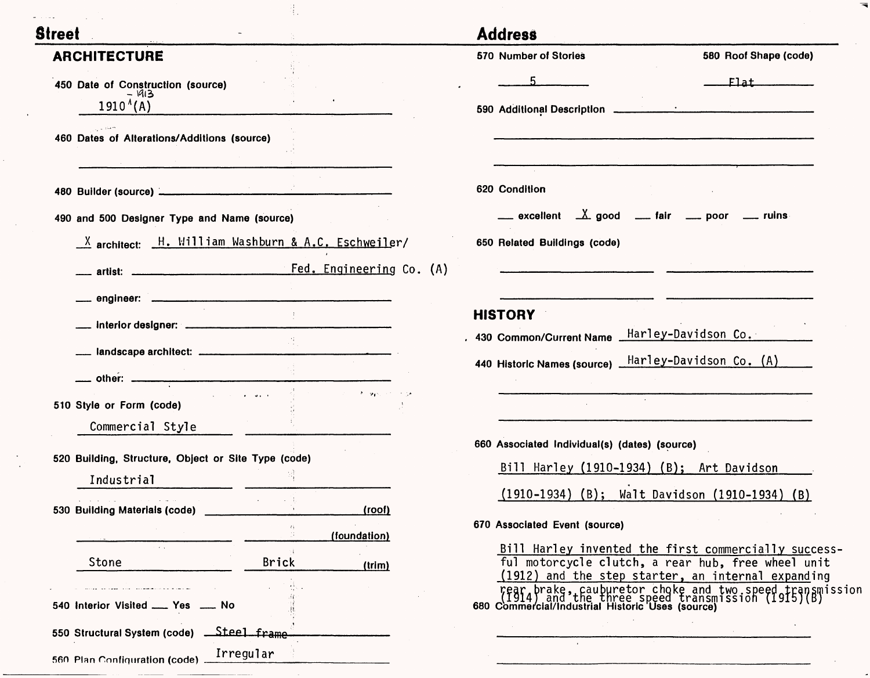| <b>Street</b>                                           |                        | <b>Address</b>                                      |                                                                                                                                                                  |
|---------------------------------------------------------|------------------------|-----------------------------------------------------|------------------------------------------------------------------------------------------------------------------------------------------------------------------|
| <b>ARCHITECTURE</b>                                     |                        | <b>570 Number of Stories</b>                        | 580 Roof Shape (code)                                                                                                                                            |
| 450 Date of Construction (source)                       |                        |                                                     | <b>Elat</b>                                                                                                                                                      |
| - 1913<br>$1910^{(A)}$                                  |                        |                                                     |                                                                                                                                                                  |
|                                                         |                        |                                                     |                                                                                                                                                                  |
| 460 Dates of Alterations/Additions (source)             |                        |                                                     |                                                                                                                                                                  |
|                                                         |                        |                                                     |                                                                                                                                                                  |
| 480 Builder (source)                                    |                        | 620 Condition                                       |                                                                                                                                                                  |
| 490 and 500 Designer Type and Name (source)             |                        | __ excellent _X good __ fair __ poor __ ruins       |                                                                                                                                                                  |
| $X$ architect: $H.$ William Washburn & A.C. Eschweiler/ |                        | 650 Related Buildings (code)                        |                                                                                                                                                                  |
|                                                         |                        |                                                     |                                                                                                                                                                  |
|                                                         |                        |                                                     |                                                                                                                                                                  |
|                                                         |                        | <b>HISTORY</b>                                      |                                                                                                                                                                  |
|                                                         |                        | 430 Common/Current Name Harley-Davidson Co.         |                                                                                                                                                                  |
| __ landscape architect: _________________               |                        | 440 Historic Names (source) Harley-Davidson Co. (A) |                                                                                                                                                                  |
|                                                         | مواجب والمهورة فالتراص |                                                     |                                                                                                                                                                  |
| 510 Style or Form (code)                                |                        |                                                     |                                                                                                                                                                  |
| Commercial Style                                        |                        |                                                     |                                                                                                                                                                  |
| 520 Building, Structure, Object or Site Type (code)     |                        | 660 Associated Individual(s) (dates) (source)       |                                                                                                                                                                  |
| Industrial                                              |                        | Bill Harley (1910-1934) (B); Art Davidson           |                                                                                                                                                                  |
| All contracts in the contracts<br>المتعشير والمتاب      | <b>Contractor</b>      |                                                     | (1910-1934) (B); Walt Davidson (1910-1934) (B)                                                                                                                   |
| 530 Building Materials (code)                           | (roof)                 | 670 Associated Event (source)                       |                                                                                                                                                                  |
| $\sim 10^{-1}$                                          | (foundation)           |                                                     | Bill Harley invented the first commercially success-                                                                                                             |
| Stone                                                   | Brick<br>(trim)        |                                                     | ful motorcycle clutch, a rear hub, free wheel unit<br>(1912) and the step starter, an internal expanding                                                         |
| an read there is a communication of the community       |                        |                                                     | rear brake, cauburetor choke and two speed transmission<br>(1914) and the three speed transmission (1915)(B)<br>680 Commercial/Industrial Historic Uses (source) |
| 540 Interior Visited ____ Yes ____ No                   |                        |                                                     |                                                                                                                                                                  |
| 550 Structural System (code) __Steel_frame_             |                        |                                                     |                                                                                                                                                                  |

 $\epsilon$ 

 $\sim 10^{11}$ 

 $\frac{1}{2}$ 

 $\overline{\phantom{0}}$ 

and the company of the company

 $\sim$   $-$ 

 $\overline{\phantom{a}}$ 

٠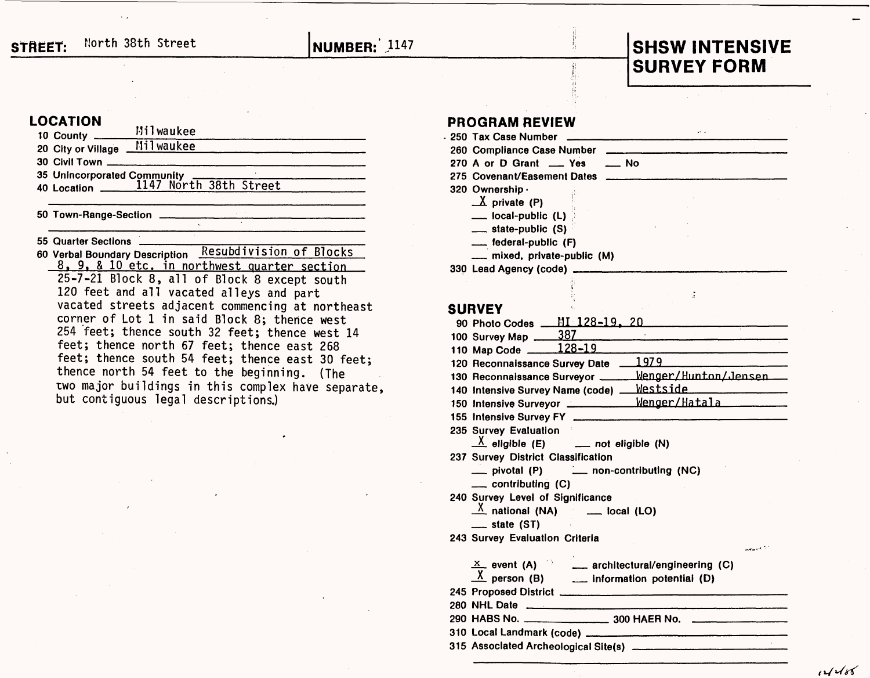# **SURVEY FORM**

 $\frac{1}{2}$ 

### **LOCATION**

| 10 County ______   | Milwaukee                      |  |  |
|--------------------|--------------------------------|--|--|
| 20 City or Village | Milwaukee                      |  |  |
|                    | 30 Civil Town ________________ |  |  |
|                    |                                |  |  |
|                    |                                |  |  |
|                    |                                |  |  |

**50 Town-Range-Section**

**55 Quarter Sections**

**60 Verbal Boundary Description Resubdivi sion of Blocks** 8, 9, & 10 etc, in northwest quarter section 25-7-21 Block 8, all of Block 8 except south 120 feet and all vacated alleys and part vacated streets adjacent commencing at northeast corner of Lot 1 in said Block 8; thence west 254 feet; thence south 32 feet; thence west 14 feet; thence north 67 feet; thence east 268 feet; thence south 54 feet; thence east 30 feet; thence north 54 feet to the beginning. (The two major buildings in this complex have separate, but contiguous legal descriptions.)

# **PROGRAM REVIEW 250 Tax Case Number \_**

| 250 Tax Case Number         |             |  |
|-----------------------------|-------------|--|
| 260 Compliance Case Number  |             |  |
| 270 A or D Grant ___ Yes    | $\equiv$ No |  |
| 275 Covenant/Easement Dates |             |  |
| 320 Ownership <sub>'</sub>  |             |  |
| $\Lambda$ private (P)       |             |  |
| $\equiv$ local-public (L)   |             |  |
| $\equiv$ state-public $(S)$ |             |  |
| __ federal-public (F)       |             |  |
|                             |             |  |

**\_ mixed, private-public (M)** 

**33Q Lead Agency (code) \_\_\_\_\_**

### **SURVEY**

| 100 Survey Map 387                                        |
|-----------------------------------------------------------|
| 110 Map Code ______ 128-19                                |
| 120 Reconnaissance Survey Date 1979                       |
| 130 Reconnaissance Surveyor _____ Wenger/Hunton/Jensen __ |
| 140 Intensive Survey Name (code) Mestside                 |
| 150 Intensive Surveyor ____________ Wenger/Hatala         |
|                                                           |
| 235 Survey Evaluation                                     |
| $X$ eligible (E) ____ not eligible (N)                    |
| 237 Survey District Classification                        |
| __ pivotal (P) __ non-contributing (NC)                   |
| $\equiv$ contributing (C)                                 |
| 240 Survey Level of Significance                          |
| $X$ national (NA) $\qquad \qquad$ local (LO)              |
| $\equiv$ state (ST)                                       |
| 243 Survey Evaluation Criteria                            |
| أرام وتفاجينا                                             |
| $X$ event (A) $X$ architectural/engineering (C)           |
| $X$ person (B) $\qquad \qquad$ information potential (D)  |
|                                                           |
|                                                           |
|                                                           |
|                                                           |
|                                                           |
|                                                           |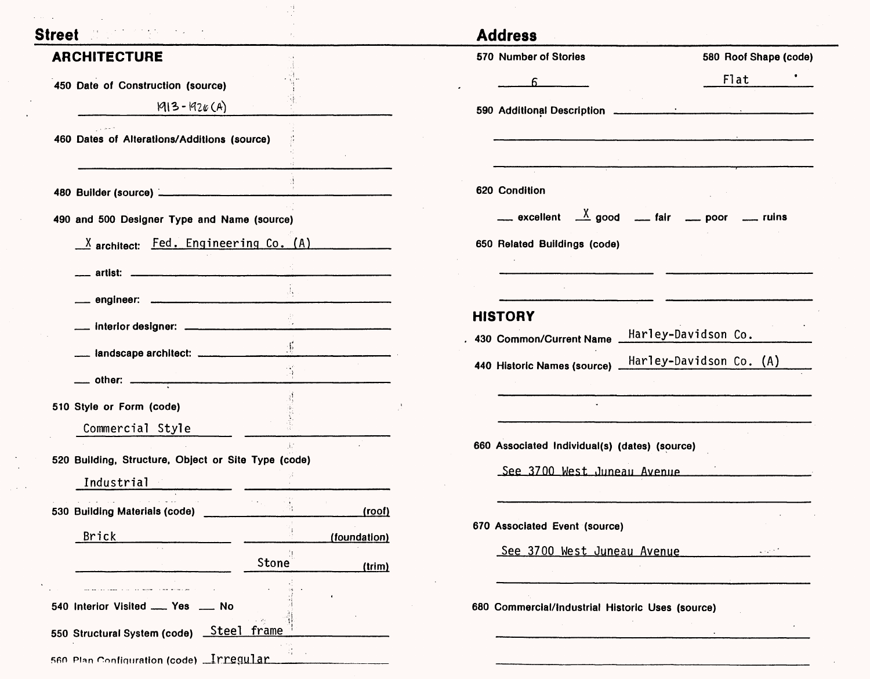| Street <b>Manual Street</b>                                                                                       |                        | <b>Address</b>                                                                                       |                          |
|-------------------------------------------------------------------------------------------------------------------|------------------------|------------------------------------------------------------------------------------------------------|--------------------------|
| <b>ARCHITECTURE</b>                                                                                               |                        | 570 Number of Stories                                                                                | 580 Roof Shape (code)    |
| 450 Date of Construction (source)                                                                                 |                        |                                                                                                      | Flat                     |
| $1913 - 1926(A)$                                                                                                  |                        |                                                                                                      |                          |
| 460 Dates of Alterations/Additions (source)                                                                       |                        |                                                                                                      |                          |
|                                                                                                                   |                        |                                                                                                      |                          |
|                                                                                                                   |                        | 620 Condition                                                                                        |                          |
| 490 and 500 Designer Type and Name (source)                                                                       |                        | $\frac{X}{x}$ excellent $\frac{X}{x}$ good $\frac{X}{x}$ fair $\frac{X}{x}$ poor $\frac{X}{x}$ ruins |                          |
| $X$ architect: $Fed.$ Engineering Co. $(A)$                                                                       |                        | 650 Related Buildings (code)                                                                         |                          |
|                                                                                                                   |                        |                                                                                                      |                          |
|                                                                                                                   |                        |                                                                                                      |                          |
|                                                                                                                   |                        | <b>HISTORY</b>                                                                                       |                          |
| __ landscape architect: __________________                                                                        |                        | 430 Common/Current Name Harley-Davidson Co.                                                          |                          |
|                                                                                                                   |                        | 440 Historic Names (source) Harley-Davidson Co. (A)                                                  |                          |
| 510 Style or Form (code)                                                                                          |                        |                                                                                                      |                          |
| Commercial Style                                                                                                  |                        |                                                                                                      |                          |
|                                                                                                                   |                        | 660 Associated Individual(s) (dates) (source)                                                        |                          |
| 520 Building, Structure, Object or Site Type (code)<br>Industrial                                                 |                        | See 3700 West Juneau Avenue                                                                          |                          |
| $\Delta\phi$ , and $\Delta\phi$ , and $\Delta\phi$ , and<br>$\alpha$ , and $\alpha$ , and $\alpha$ , and $\alpha$ | $\sim$ $\sim$          |                                                                                                      |                          |
| 530 Building Materials (code)                                                                                     | (root)                 | 670 Associated Event (source)                                                                        |                          |
| <b>Brick</b>                                                                                                      | (foundation)           | See 3700 West Juneau Avenue                                                                          | $\sim 10^{11}$ m $^{-1}$ |
|                                                                                                                   | <b>Stone</b><br>(trim) |                                                                                                      |                          |
| 540 Interior Visited  Yes  No                                                                                     |                        |                                                                                                      |                          |
| 550 Structural System (code)    Steel frame                                                                       |                        | 680 Commercial/Industrial Historic Uses (source)                                                     |                          |

 $\sim$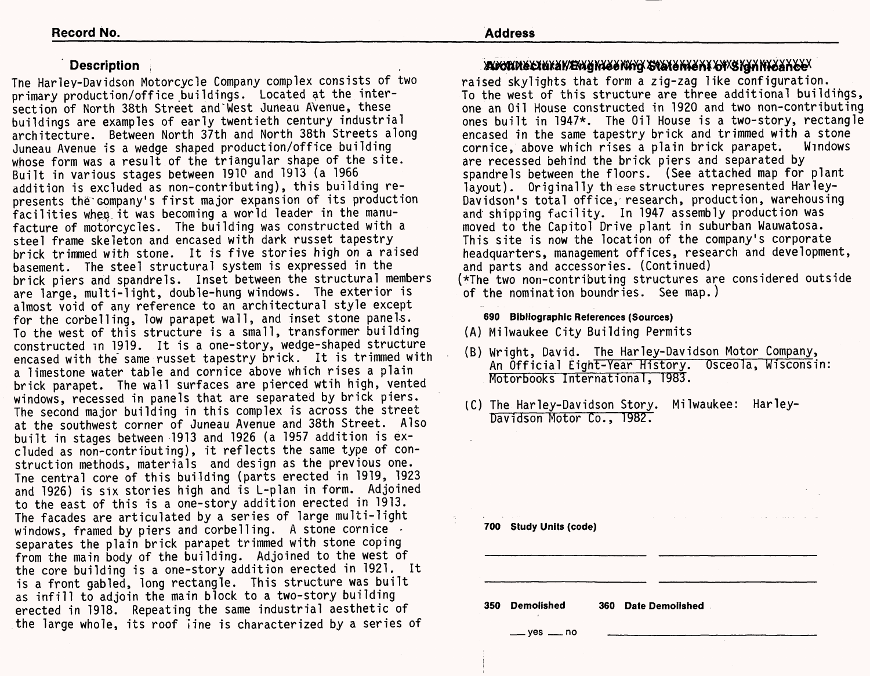### **Description**

The Harley-Davidson Motorcycle Company complex consists of two primary production/office buildings. Located at the intersection of North 38th Street and^West Juneau Avenue, these buildings are examples of early twentieth century industrial architecture. Between North 37th and North 38th Streets along Juneau Avenue is a wedge shaped production/office building whose form was a result of the triangular shape of the site. Built in various stages between 1910 and 1913 (a 1966 addition is excluded as non-contributing), this building represents the company's first major expansion of its production facilities wheq.it was becoming a world leader in the manufacture of motorcycles. The building was constructed with a steel frame skeleton and encased with dark russet tapestry brick trimmed with stone. It is five stories high on a raised basement. The steel structural system is expressed in the brick piers and spandrels. Inset between the structural members are large, multi-light, double-hung windows. The exterior is almost void of any reference to an architectural style except for the corbelling, low parapet wall, and inset stone panels. To the west of this structure is a small, transformer building constructed in 1919. It is a one-story, wedge-shaped structure encased with the same russet tapestry brick. It is trimmed with a limestone water table and cornice above which rises a plain brick parapet. The wall surfaces are pierced wtih high, vented windows, recessed in panels that are separated by brick piers. The second major building in this complex is across the street at the southwest corner of Juneau Avenue and 38th Street. Also built in stages between 1913 and 1926 (a 1957 addition is excluded as non-contributing), it reflects the same type of construction methods, materials and design as the previous one. Tne central core of this building (parts erected in 1919, 1923 and 1926) is six stories high and is L-plan in form. Adjoined to the east of this is a one-story addition erected in 1913. The facades are articulated by a series of large multi-light windows, framed by piers and corbelling. A stone cornice separates the plain brick parapet trimmed with stone coping from the main body of the building. Adjoined to the west of the core building is a one-story addition erected in 1921. It is a front gabled, long rectangle. This structure was built as infill to adjoin the main block to a two-story building erected in 1918. Repeating the same industrial aesthetic of the large whole, its roof line is characterized by a series of

### . Angrinsexukan/Egigkisseking Statenisht of Stanhfoan Ce

raised skylights that form a zig-zag like configuration. To the west of this structure are three additional buildings, one an Oil House constructed in 1920 and two non-contributing ones built in 1947\*. The Oil House is a two-story, rectangle encased in the same tapestry brick and trimmed with a stone cornice, above which rises a plain brick parapet. Windows are recessed behind the brick piers and separated by spandrels between the floors. (See attached map for plant layout). Originally th ese structures represented Harley-Davidson's total office, research, production, warehousing and shipping facility. In 1947 assembly production was moved to the Capitol Drive plant in suburban Wauwatosa. This site is now the location of the company's corporate headquarters, management offices, research and development, and parts and accessories. (Continued) (\*The two non-contributing structures are considered outside of the nomination boundries. See map.)

### **690 Bibliographic References (Sources)**

- (A) Milwaukee City Building Permits
- (B) Wright, David. The Harley-Davidson Motor Company, An Official Eight-Year History. Osceola, Wisconsin: Motorbooks International, 1983.
- (C) The Harley-Davidson Story. Milwaukee: Harley-Davidson Motor Co., 1982.

| 700 | the contract of the con-<br><b>Study Units (code)</b> |                               |
|-----|-------------------------------------------------------|-------------------------------|
|     |                                                       |                               |
| 350 | <b>Demolished</b>                                     | <b>Date Demolished</b><br>360 |
|     |                                                       |                               |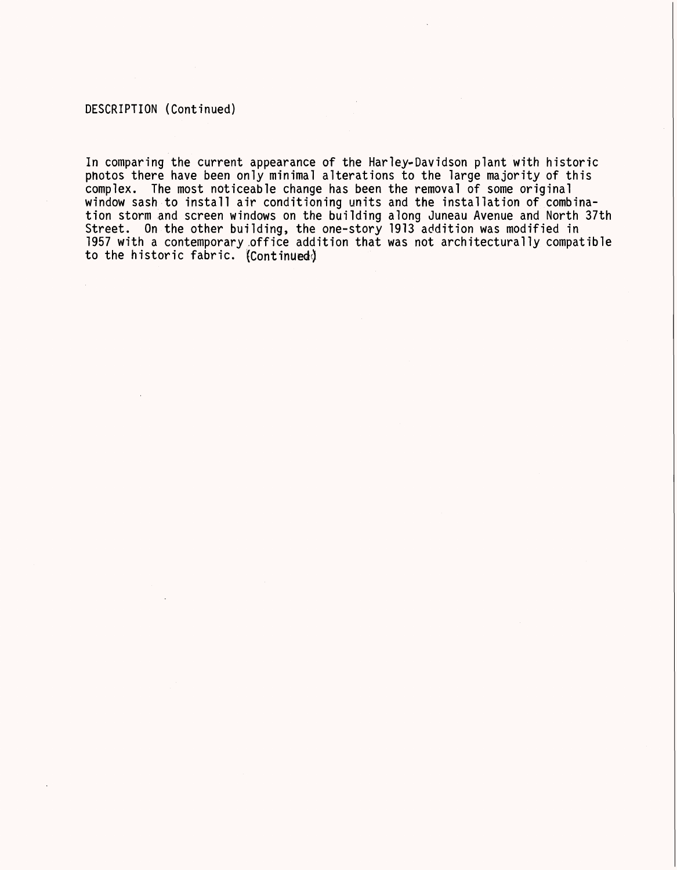### DESCRIPTION (Continued)

In comparing the current appearance of the Harley-Davidson plant with historic photos there have been only minimal alterations to the large majority of this complex. The most noticeable change has been the removal of some original window sash to install air conditioning units and the installation of combination storm and screen windows on the building along Juneau Avenue and North 37th Street. On the other building, the one-story 1913 addition was modified in 1957 with a contemporary .office addition that was not architecturally compatible to the historic fabric. (Continued)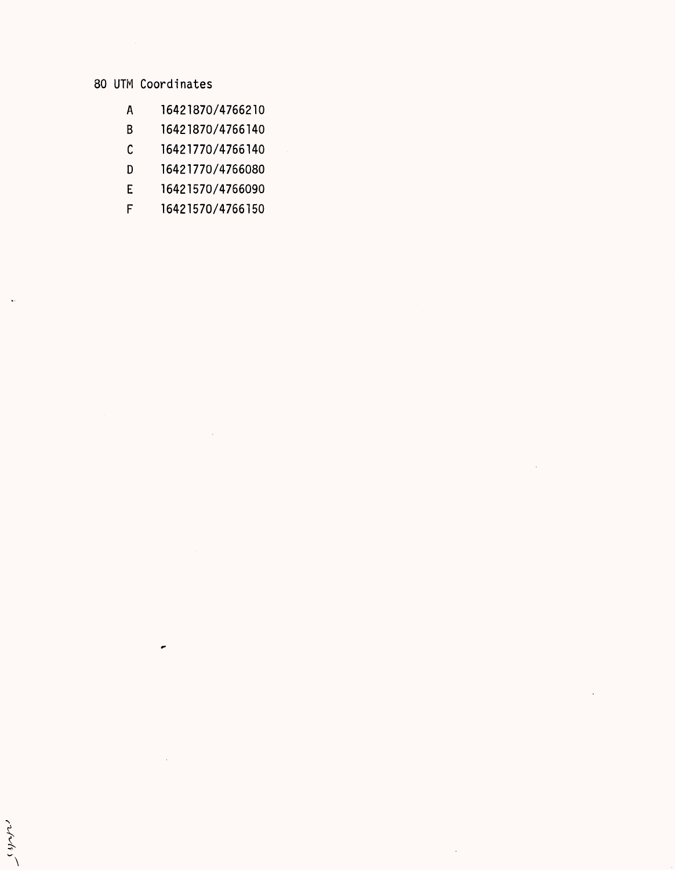### 80 UTM Coordinates

- A 16421870/4766210
- B 16421870/4766140
- C 16421770/4766140
- D 16421770/4766080
- E 16421570/4766090
- F 16421570/4766150

 $\bar{\mathcal{L}}$ 

entals,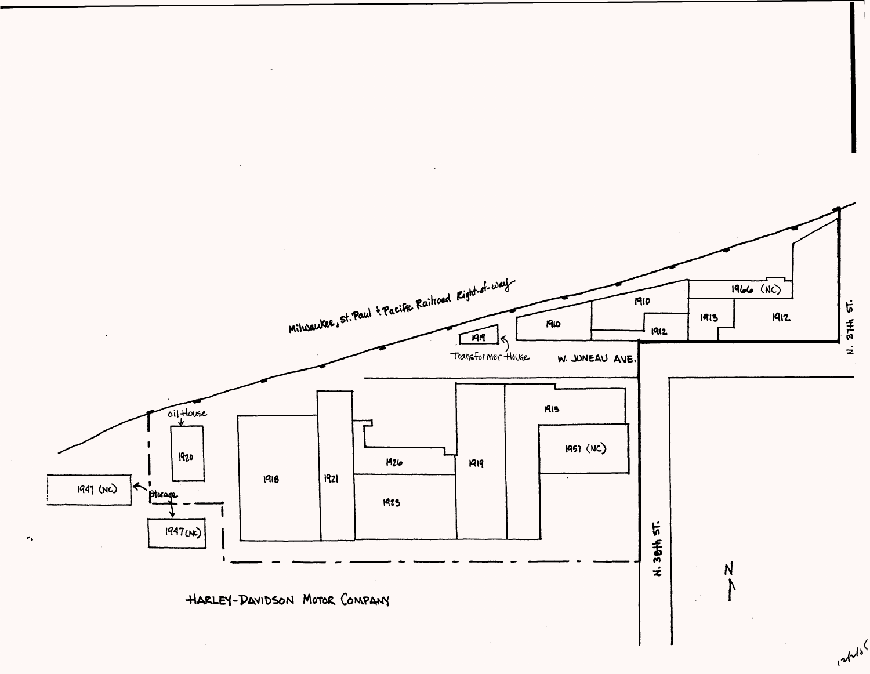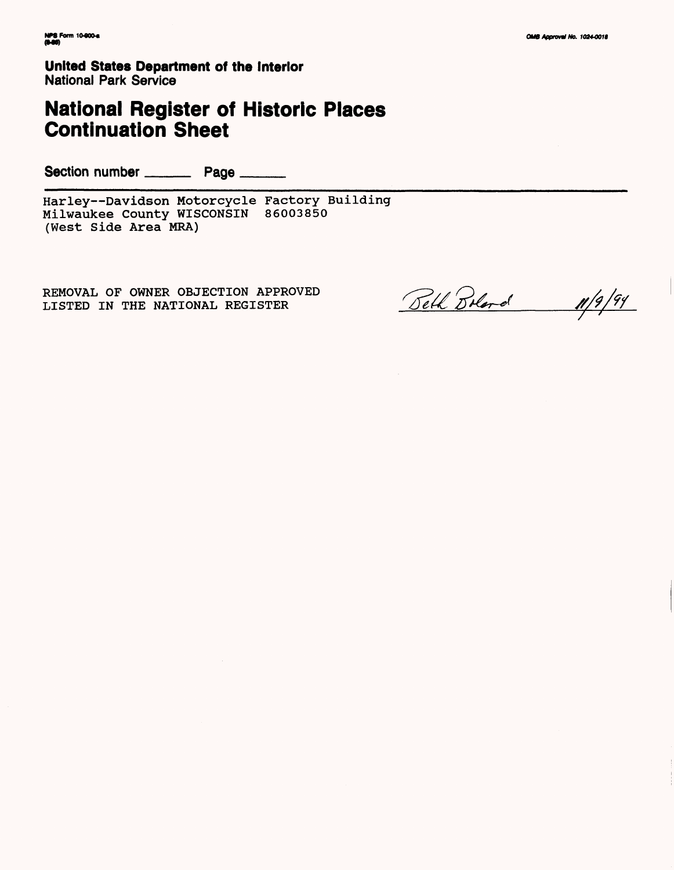**United States Department of the Interior** National Park Service

# **National Register of Historic Places Continuation Sheet**

Section number \_\_\_\_\_\_\_\_\_\_ Page \_\_\_\_\_\_\_

Harley—Davidson Motorcycle Factory Building Milwaukee County WISCONSIN 86003850 (West Side Area MRA)

REMOVAL OF OWNER OBJECTION APPROVED LISTED IN THE NATIONAL REGISTER

11/9/94 Belk Boland